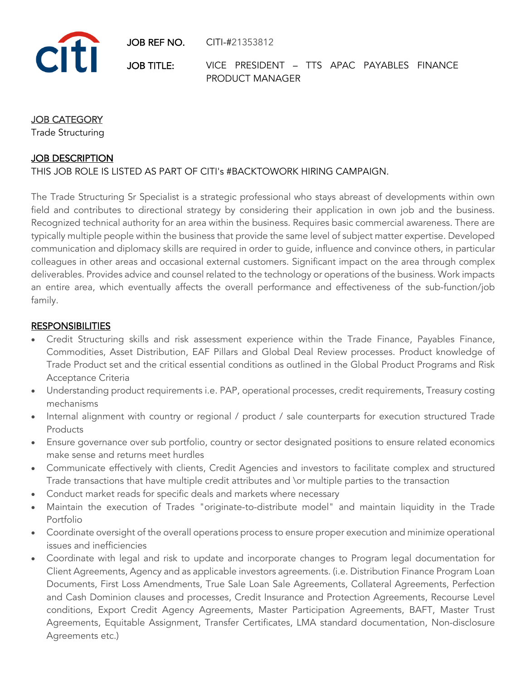JOB REF NO. CITI-#21353812



JOB TITLE: VICE PRESIDENT – TTS APAC PAYABLES FINANCE PRODUCT MANAGER

### JOB CATEGORY

Trade Structuring

### JOB DESCRIPTION

THIS JOB ROLE IS LISTED AS PART OF CITI's #BACKTOWORK HIRING CAMPAIGN.

The Trade Structuring Sr Specialist is a strategic professional who stays abreast of developments within own field and contributes to directional strategy by considering their application in own job and the business. Recognized technical authority for an area within the business. Requires basic commercial awareness. There are typically multiple people within the business that provide the same level of subject matter expertise. Developed communication and diplomacy skills are required in order to guide, influence and convince others, in particular colleagues in other areas and occasional external customers. Significant impact on the area through complex deliverables. Provides advice and counsel related to the technology or operations of the business. Work impacts an entire area, which eventually affects the overall performance and effectiveness of the sub-function/job family.

#### **RESPONSIBILITIES**

- Credit Structuring skills and risk assessment experience within the Trade Finance, Payables Finance, Commodities, Asset Distribution, EAF Pillars and Global Deal Review processes. Product knowledge of Trade Product set and the critical essential conditions as outlined in the Global Product Programs and Risk Acceptance Criteria
- Understanding product requirements i.e. PAP, operational processes, credit requirements, Treasury costing mechanisms
- Internal alignment with country or regional / product / sale counterparts for execution structured Trade Products
- Ensure governance over sub portfolio, country or sector designated positions to ensure related economics make sense and returns meet hurdles
- Communicate effectively with clients, Credit Agencies and investors to facilitate complex and structured Trade transactions that have multiple credit attributes and \or multiple parties to the transaction
- Conduct market reads for specific deals and markets where necessary
- Maintain the execution of Trades "originate-to-distribute model" and maintain liquidity in the Trade Portfolio
- Coordinate oversight of the overall operations process to ensure proper execution and minimize operational issues and inefficiencies
- Coordinate with legal and risk to update and incorporate changes to Program legal documentation for Client Agreements, Agency and as applicable investors agreements. (i.e. Distribution Finance Program Loan Documents, First Loss Amendments, True Sale Loan Sale Agreements, Collateral Agreements, Perfection and Cash Dominion clauses and processes, Credit Insurance and Protection Agreements, Recourse Level conditions, Export Credit Agency Agreements, Master Participation Agreements, BAFT, Master Trust Agreements, Equitable Assignment, Transfer Certificates, LMA standard documentation, Non-disclosure Agreements etc.)